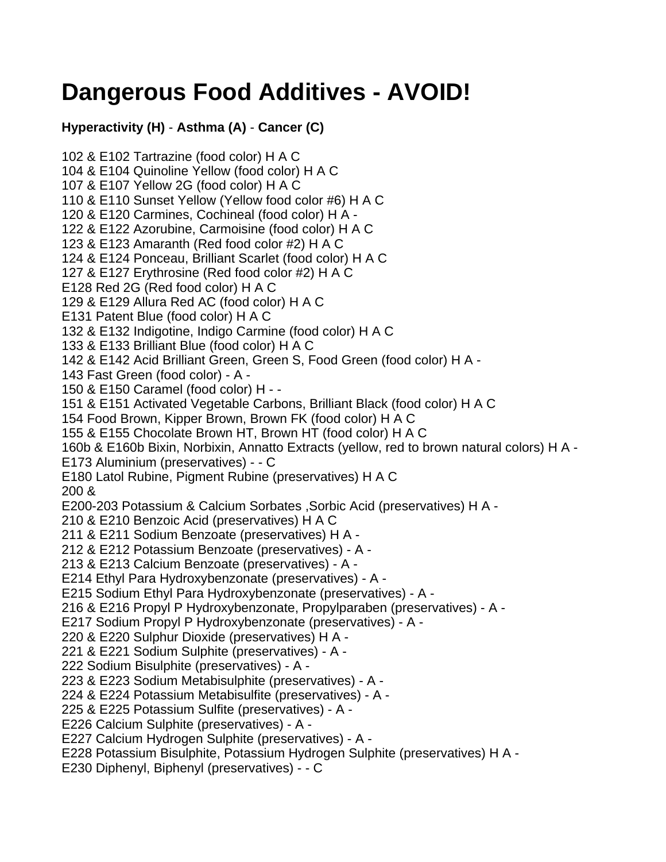## **Dangerous Food Additives - AVOID!**

**Hyperactivity (H)** - **Asthma (A)** - **Cancer (C)**

102 & E102 Tartrazine (food color) H A C 104 & E104 Quinoline Yellow (food color) H A C 107 & E107 Yellow 2G (food color) H A C 110 & E110 Sunset Yellow (Yellow food color #6) H A C 120 & E120 Carmines, Cochineal (food color) H A - 122 & E122 Azorubine, Carmoisine (food color) H A C 123 & E123 Amaranth (Red food color #2) H A C 124 & E124 Ponceau, Brilliant Scarlet (food color) H A C 127 & E127 Erythrosine (Red food color #2) H A C E128 Red 2G (Red food color) H A C 129 & E129 Allura Red AC (food color) H A C E131 Patent Blue (food color) H A C 132 & E132 Indigotine, Indigo Carmine (food color) H A C 133 & E133 Brilliant Blue (food color) H A C 142 & E142 Acid Brilliant Green, Green S, Food Green (food color) H A - 143 Fast Green (food color) - A - 150 & E150 Caramel (food color) H - - 151 & E151 Activated Vegetable Carbons, Brilliant Black (food color) H A C 154 Food Brown, Kipper Brown, Brown FK (food color) H A C 155 & E155 Chocolate Brown HT, Brown HT (food color) H A C 160b & E160b Bixin, Norbixin, Annatto Extracts (yellow, red to brown natural colors) H A - E173 Aluminium (preservatives) - - C E180 Latol Rubine, Pigment Rubine (preservatives) H A C 200 & E200-203 Potassium & Calcium Sorbates ,Sorbic Acid (preservatives) H A - 210 & E210 Benzoic Acid (preservatives) H A C 211 & E211 Sodium Benzoate (preservatives) H A - 212 & E212 Potassium Benzoate (preservatives) - A - 213 & E213 Calcium Benzoate (preservatives) - A - E214 Ethyl Para Hydroxybenzonate (preservatives) - A - E215 Sodium Ethyl Para Hydroxybenzonate (preservatives) - A - 216 & E216 Propyl P Hydroxybenzonate, Propylparaben (preservatives) - A - E217 Sodium Propyl P Hydroxybenzonate (preservatives) - A - 220 & E220 Sulphur Dioxide (preservatives) H A - 221 & E221 Sodium Sulphite (preservatives) - A - 222 Sodium Bisulphite (preservatives) - A - 223 & E223 Sodium Metabisulphite (preservatives) - A - 224 & E224 Potassium Metabisulfite (preservatives) - A - 225 & E225 Potassium Sulfite (preservatives) - A - E226 Calcium Sulphite (preservatives) - A - E227 Calcium Hydrogen Sulphite (preservatives) - A - E228 Potassium Bisulphite, Potassium Hydrogen Sulphite (preservatives) H A - E230 Diphenyl, Biphenyl (preservatives) - - C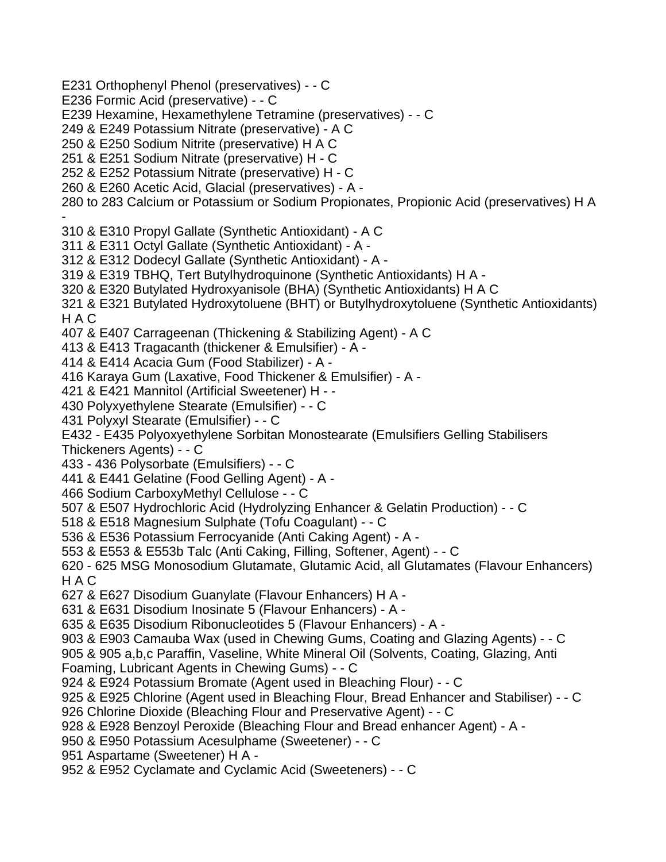E231 Orthophenyl Phenol (preservatives) - - C

E236 Formic Acid (preservative) - - C

E239 Hexamine, Hexamethylene Tetramine (preservatives) - - C

249 & E249 Potassium Nitrate (preservative) - A C

250 & E250 Sodium Nitrite (preservative) H A C

251 & E251 Sodium Nitrate (preservative) H - C

252 & E252 Potassium Nitrate (preservative) H - C

260 & E260 Acetic Acid, Glacial (preservatives) - A -

280 to 283 Calcium or Potassium or Sodium Propionates, Propionic Acid (preservatives) H A

- 310 & E310 Propyl Gallate (Synthetic Antioxidant) - A C

311 & E311 Octyl Gallate (Synthetic Antioxidant) - A -

312 & E312 Dodecyl Gallate (Synthetic Antioxidant) - A -

319 & E319 TBHQ, Tert Butylhydroquinone (Synthetic Antioxidants) H A -

320 & E320 Butylated Hydroxyanisole (BHA) (Synthetic Antioxidants) H A C

321 & E321 Butylated Hydroxytoluene (BHT) or Butylhydroxytoluene (Synthetic Antioxidants) H A C

407 & E407 Carrageenan (Thickening & Stabilizing Agent) - A C

413 & E413 Tragacanth (thickener & Emulsifier) - A -

414 & E414 Acacia Gum (Food Stabilizer) - A -

416 Karaya Gum (Laxative, Food Thickener & Emulsifier) - A -

421 & E421 Mannitol (Artificial Sweetener) H - -

430 Polyxyethylene Stearate (Emulsifier) - - C

431 Polyxyl Stearate (Emulsifier) - - C

E432 - E435 Polyoxyethylene Sorbitan Monostearate (Emulsifiers Gelling Stabilisers Thickeners Agents) - - C

433 - 436 Polysorbate (Emulsifiers) - - C

441 & E441 Gelatine (Food Gelling Agent) - A -

466 Sodium CarboxyMethyl Cellulose - - C

507 & E507 Hydrochloric Acid (Hydrolyzing Enhancer & Gelatin Production) - - C

518 & E518 Magnesium Sulphate (Tofu Coagulant) - - C

536 & E536 Potassium Ferrocyanide (Anti Caking Agent) - A -

553 & E553 & E553b Talc (Anti Caking, Filling, Softener, Agent) - - C

620 - 625 MSG Monosodium Glutamate, Glutamic Acid, all Glutamates (Flavour Enhancers) H A C

627 & E627 Disodium Guanylate (Flavour Enhancers) H A -

631 & E631 Disodium Inosinate 5 (Flavour Enhancers) - A -

635 & E635 Disodium Ribonucleotides 5 (Flavour Enhancers) - A -

903 & E903 Camauba Wax (used in Chewing Gums, Coating and Glazing Agents) - - C

905 & 905 a,b,c Paraffin, Vaseline, White Mineral Oil (Solvents, Coating, Glazing, Anti

Foaming, Lubricant Agents in Chewing Gums) - - C

924 & E924 Potassium Bromate (Agent used in Bleaching Flour) - - C

925 & E925 Chlorine (Agent used in Bleaching Flour, Bread Enhancer and Stabiliser) - - C

926 Chlorine Dioxide (Bleaching Flour and Preservative Agent) - - C

928 & E928 Benzoyl Peroxide (Bleaching Flour and Bread enhancer Agent) - A -

950 & E950 Potassium Acesulphame (Sweetener) - - C

951 Aspartame (Sweetener) H A -

952 & E952 Cyclamate and Cyclamic Acid (Sweeteners) - - C